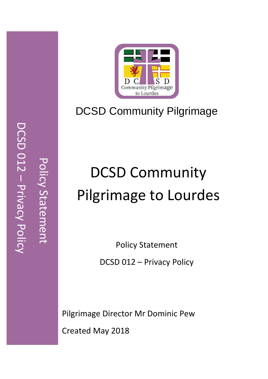

# DCSD Community Pilgrimage

# DCSD Community Pilgrimage to Lourdes

Policy Statement

DCSD 012 – Privacy Policy

 Pilgrimage Director Mr Dominic Pew Created May 2018

Policy Statement

Policy Statemen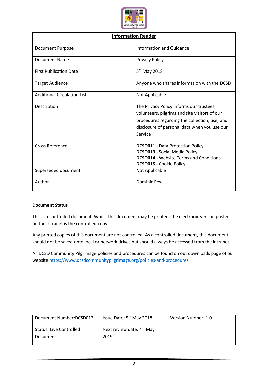

| <b>Information Reader</b>          |                                               |  |
|------------------------------------|-----------------------------------------------|--|
| <b>Document Purpose</b>            | <b>Information and Guidance</b>               |  |
| <b>Document Name</b>               | <b>Privacy Policy</b>                         |  |
| <b>First Publication Date</b>      | 5 <sup>th</sup> May 2018                      |  |
| <b>Target Audience</b>             | Anyone who shares information with the DCSD   |  |
| <b>Additional Circulation List</b> | Not Applicable                                |  |
| Description                        | The Privacy Policy informs our trustees,      |  |
|                                    | volunteers, pilgrims and site visitors of our |  |
|                                    | procedures regarding the collection, use, and |  |
|                                    | disclosure of personal data when you use our  |  |
|                                    | Service                                       |  |
| Cross Reference                    | <b>DCSD011 - Data Protection Policy</b>       |  |
|                                    | <b>DCSD013 - Social Media Policy</b>          |  |
|                                    | <b>DCSD014 - Website Terms and Conditions</b> |  |
|                                    | <b>DCSD015 - Cookie Policy</b>                |  |
| Superseded document                | Not Applicable                                |  |
| Author                             | Dominic Pew                                   |  |

#### **Document Status**

This is a controlled document. Whilst this document may be printed, the electronic version posted on the intranet is the controlled copy.

Any printed copies of this document are not controlled. As a controlled document, this document should not be saved onto local or network drives but should always be accessed from the intranet.

All DCSD Community Pilgrimage policies and procedures can be found on out downloads page of our websit[e https://www.dcsdcommunitypilgrimage.org/policies-and-procedures](https://www.dcsdcommunitypilgrimage.org/policies-and-procedures)

| Document Number: DCSD012       | Issue Date: 5 <sup>th</sup> May 2018  | Version Number: 1.0 |
|--------------------------------|---------------------------------------|---------------------|
| <b>Status: Live Controlled</b> | Next review date: 4 <sup>th</sup> May |                     |
| Document                       | 2019                                  |                     |
|                                |                                       |                     |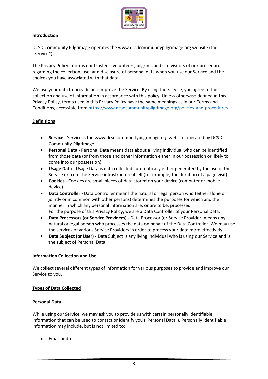

#### **Introduction**

DCSD Community Pilgrimage operates the www.dcsdcommunitypilgrimage.org website (the "Service").

The Privacy Policy informs our trustees, volunteers, pilgrims and site visitors of our procedures regarding the collection, use, and disclosure of personal data when you use our Service and the choices you have associated with that data.

We use your data to provide and improve the Service. By using the Service, you agree to the collection and use of information in accordance with this policy. Unless otherwise defined in this Privacy Policy, terms used in this Privacy Policy have the same meanings as in our Terms and Conditions, accessible from<https://www.dcsdcommunitypilgrimage.org/policies-and-procedures>

#### **Definitions**

- **Service** Service is the www.dcsdcommunitypilgrimage.org website operated by DCSD Community Pilgrimage
- **Personal Data -** Personal Data means data about a living individual who can be identified from those data (or from those and other information either in our possession or likely to come into our possession).
- **Usage Data**  Usage Data is data collected automatically either generated by the use of the Service or from the Service infrastructure itself (for example, the duration of a page visit).
- **Cookies -** Cookies are small pieces of data stored on your device (computer or mobile device).
- **Data Controller -** Data Controller means the natural or legal person who (either alone or jointly or in common with other persons) determines the purposes for which and the manner in which any personal information are, or are to be, processed. For the purpose of this Privacy Policy, we are a Data Controller of your Personal Data.
- **Data Processors (or Service Providers) -** Data Processor (or Service Provider) means any natural or legal person who processes the data on behalf of the Data Controller. We may use the services of various Service Providers in order to process your data more effectively.
- **Data Subject (or User) -** Data Subject is any living individual who is using our Service and is the subject of Personal Data.

#### **Information Collection and Use**

We collect several different types of information for various purposes to provide and improve our Service to you.

#### **Types of Data Collected**

#### **Personal Data**

While using our Service, we may ask you to provide us with certain personally identifiable information that can be used to contact or identify you ("Personal Data"). Personally identifiable information may include, but is not limited to:

• Email address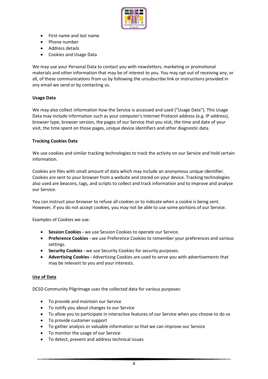

- First name and last name
- Phone number
- Address details
- Cookies and Usage Data

We may use your Personal Data to contact you with newsletters, marketing or promotional materials and other information that may be of interest to you. You may opt out of receiving any, or all, of these communications from us by following the unsubscribe link or instructions provided in any email we send or by contacting us.

#### **Usage Data**

We may also collect information how the Service is accessed and used ("Usage Data"). This Usage Data may include information such as your computer's Internet Protocol address (e.g. IP address), browser type, browser version, the pages of our Service that you visit, the time and date of your visit, the time spent on those pages, unique device identifiers and other diagnostic data.

#### **Tracking Cookies Data**

We use cookies and similar tracking technologies to track the activity on our Service and hold certain information.

Cookies are files with small amount of data which may include an anonymous unique identifier. Cookies are sent to your browser from a website and stored on your device. Tracking technologies also used are beacons, tags, and scripts to collect and track information and to improve and analyse our Service.

You can instruct your browser to refuse all cookies or to indicate when a cookie is being sent. However, if you do not accept cookies, you may not be able to use some portions of our Service.

Examples of Cookies we use:

- **Session Cookies -** we use Session Cookies to operate our Service.
- **Preference Cookies -** we use Preference Cookies to remember your preferences and various settings.
- **Security Cookies -** we use Security Cookies for security purposes.
- **Advertising Cookies -** Advertising Cookies are used to serve you with advertisements that may be relevant to you and your interests.

#### **Use of Data**

DCSD Community Pilgrimage uses the collected data for various purposes:

- To provide and maintain our Service
- To notify you about changes to our Service
- To allow you to participate in interactive features of our Service when you choose to do so
- To provide customer support
- To gather analysis or valuable information so that we can improve our Service
- To monitor the usage of our Service
- To detect, prevent and address technical issues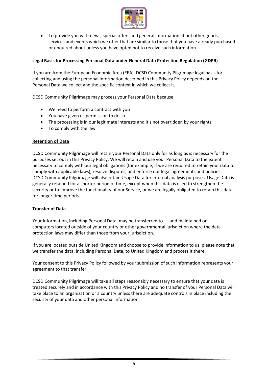

 To provide you with news, special offers and general information about other goods, services and events which we offer that are similar to those that you have already purchased or enquired about unless you have opted not to receive such information

#### **Legal Basis for Processing Personal Data under General Data Protection Regulation (GDPR)**

If you are from the European Economic Area (EEA), DCSD Community Pilgrimage legal basis for collecting and using the personal information described in this Privacy Policy depends on the Personal Data we collect and the specific context in which we collect it.

DCSD Community Pilgrimage may process your Personal Data because:

- We need to perform a contract with you
- You have given us permission to do so
- The processing is in our legitimate interests and it's not overridden by your rights
- To comply with the law

#### **Retention of Data**

DCSD Community Pilgrimage will retain your Personal Data only for as long as is necessary for the purposes set out in this Privacy Policy. We will retain and use your Personal Data to the extent necessary to comply with our legal obligations (for example, if we are required to retain your data to comply with applicable laws), resolve disputes, and enforce our legal agreements and policies. DCSD Community Pilgrimage will also retain Usage Data for internal analysis purposes. Usage Data is generally retained for a shorter period of time, except when this data is used to strengthen the security or to improve the functionality of our Service, or we are legally obligated to retain this data for longer time periods.

#### **Transfer of Data**

Your information, including Personal Data, may be transferred to — and maintained on computers located outside of your country or other governmental jurisdiction where the data protection laws may differ than those from your jurisdiction.

If you are located outside United Kingdom and choose to provide information to us, please note that we transfer the data, including Personal Data, to United Kingdom and process it there.

Your consent to this Privacy Policy followed by your submission of such information represents your agreement to that transfer.

DCSD Community Pilgrimage will take all steps reasonably necessary to ensure that your data is treated securely and in accordance with this Privacy Policy and no transfer of your Personal Data will take place to an organization or a country unless there are adequate controls in place including the security of your data and other personal information.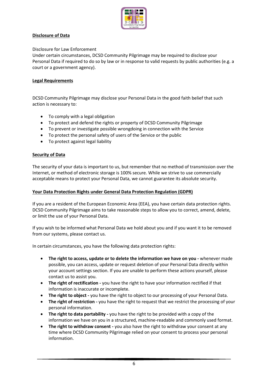

#### **Disclosure of Data**

#### Disclosure for Law Enforcement

Under certain circumstances, DCSD Community Pilgrimage may be required to disclose your Personal Data if required to do so by law or in response to valid requests by public authorities (e.g. a court or a government agency).

#### **Legal Requirements**

DCSD Community Pilgrimage may disclose your Personal Data in the good faith belief that such action is necessary to:

- To comply with a legal obligation
- To protect and defend the rights or property of DCSD Community Pilgrimage
- To prevent or investigate possible wrongdoing in connection with the Service
- To protect the personal safety of users of the Service or the public
- To protect against legal liability

#### **Security of Data**

The security of your data is important to us, but remember that no method of transmission over the Internet, or method of electronic storage is 100% secure. While we strive to use commercially acceptable means to protect your Personal Data, we cannot guarantee its absolute security.

#### **Your Data Protection Rights under General Data Protection Regulation (GDPR)**

If you are a resident of the European Economic Area (EEA), you have certain data protection rights. DCSD Community Pilgrimage aims to take reasonable steps to allow you to correct, amend, delete, or limit the use of your Personal Data.

If you wish to be informed what Personal Data we hold about you and if you want it to be removed from our systems, please contact us.

In certain circumstances, you have the following data protection rights:

- **The right to access, update or to delete the information we have on you -** whenever made possible, you can access, update or request deletion of your Personal Data directly within your account settings section. If you are unable to perform these actions yourself, please contact us to assist you.
- **The right of rectification -** you have the right to have your information rectified if that information is inaccurate or incomplete.
- **The right to object -** you have the right to object to our processing of your Personal Data.
- **The right of restriction -** you have the right to request that we restrict the processing of your personal information.
- **The right to data portability -** you have the right to be provided with a copy of the information we have on you in a structured, machine-readable and commonly used format.
- **The right to withdraw consent -** you also have the right to withdraw your consent at any time where DCSD Community Pilgrimage relied on your consent to process your personal information.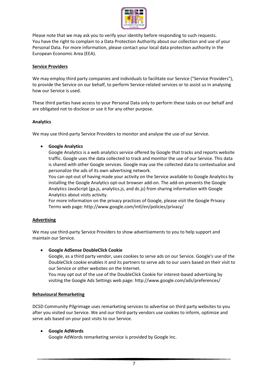

Please note that we may ask you to verify your identity before responding to such requests. You have the right to complain to a Data Protection Authority about our collection and use of your Personal Data. For more information, please contact your local data protection authority in the European Economic Area (EEA).

#### **Service Providers**

We may employ third party companies and individuals to facilitate our Service ("Service Providers"), to provide the Service on our behalf, to perform Service-related services or to assist us in analysing how our Service is used.

These third parties have access to your Personal Data only to perform these tasks on our behalf and are obligated not to disclose or use it for any other purpose.

#### **Analytics**

We may use third-party Service Providers to monitor and analyse the use of our Service.

**Google Analytics**

Google Analytics is a web analytics service offered by Google that tracks and reports website traffic. Google uses the data collected to track and monitor the use of our Service. This data is shared with other Google services. Google may use the collected data to contextualize and personalize the ads of its own advertising network.

You can opt-out of having made your activity on the Service available to Google Analytics by installing the Google Analytics opt-out browser add-on. The add-on prevents the Google Analytics JavaScript (ga.js, analytics.js, and dc.js) from sharing information with Google Analytics about visits activity.

For more information on the privacy practices of Google, please visit the Google Privacy Terms web page:<http://www.google.com/intl/en/policies/privacy/>

#### **Advertising**

We may use third-party Service Providers to show advertisements to you to help support and maintain our Service.

#### **Google AdSense DoubleClick Cookie**

Google, as a third party vendor, uses cookies to serve ads on our Service. Google's use of the DoubleClick cookie enables it and its partners to serve ads to our users based on their visit to our Service or other websites on the Internet.

You may opt out of the use of the DoubleClick Cookie for interest-based advertising by visiting the Google Ads Settings web page:<http://www.google.com/ads/preferences/>

#### **Behavioural Remarketing**

DCSD Community Pilgrimage uses remarketing services to advertise on third party websites to you after you visited our Service. We and our third-party vendors use cookies to inform, optimize and serve ads based on your past visits to our Service.

#### **Google AdWords**

Google AdWords remarketing service is provided by Google Inc.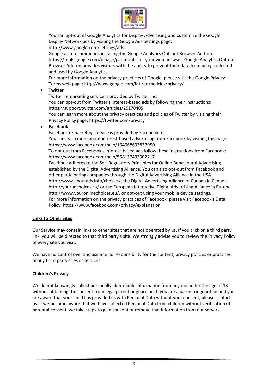

You can opt-out of Google Analytics for Display Advertising and customize the Google Display Network ads by visiting the Google Ads Settings page:

<http://www.google.com/settings/ads>

Google also recommends installing the Google Analytics Opt-out Browser Add-on <https://tools.google.com/dlpage/gaoptout> - for your web browser. Google Analytics Opt-out Browser Add-on provides visitors with the ability to prevent their data from being collected and used by Google Analytics.

For more information on the privacy practices of Google, please visit the Google Privacy Terms web page:<http://www.google.com/intl/en/policies/privacy/>

## **Twitter**

Twitter remarketing service is provided by Twitter Inc.

You can opt-out from Twitter's interest-based ads by following their instructions: <https://support.twitter.com/articles/20170405>

You can learn more about the privacy practices and policies of Twitter by visiting their Privacy Policy page:<https://twitter.com/privacy>

# **Facebook**

Facebook remarketing service is provided by Facebook Inc.

You can learn more about interest-based advertising from Facebook by visiting this page: <https://www.facebook.com/help/164968693837950>

To opt-out from Facebook's interest-based ads follow these instructions from Facebook: <https://www.facebook.com/help/568137493302217>

Facebook adheres to the Self-Regulatory Principles for Online Behavioural Advertising established by the Digital Advertising Alliance. You can also opt-out from Facebook and other participating companies through the Digital Advertising Alliance in the USA [http://www.aboutads.info/choices/,](http://www.aboutads.info/choices/) the Digital Advertising Alliance of Canada in Canada <http://youradchoices.ca/> or the European Interactive Digital Advertising Alliance in Europe [http://www.youronlinechoices.eu/,](http://www.youronlinechoices.eu/) or opt-out using your mobile device settings. For more information on the privacy practices of Facebook, please visit Facebook's Data Policy[: https://www.facebook.com/privacy/explanation](https://www.facebook.com/privacy/explanation)

### **Links to Other Sites**

Our Service may contain links to other sites that are not operated by us. If you click on a third party link, you will be directed to that third party's site. We strongly advise you to review the Privacy Policy of every site you visit.

We have no control over and assume no responsibility for the content, privacy policies or practices of any third party sites or services.

# **Children's Privacy**

We do not knowingly collect personally identifiable information from anyone under the age of 18 without obtaining the consent from legal parent or guardian. If you are a parent or guardian and you are aware that your child has provided us with Personal Data without your consent, please contact us. If we become aware that we have collected Personal Data from children without verification of parental consent, we take steps to gain consent or remove that information from our servers.